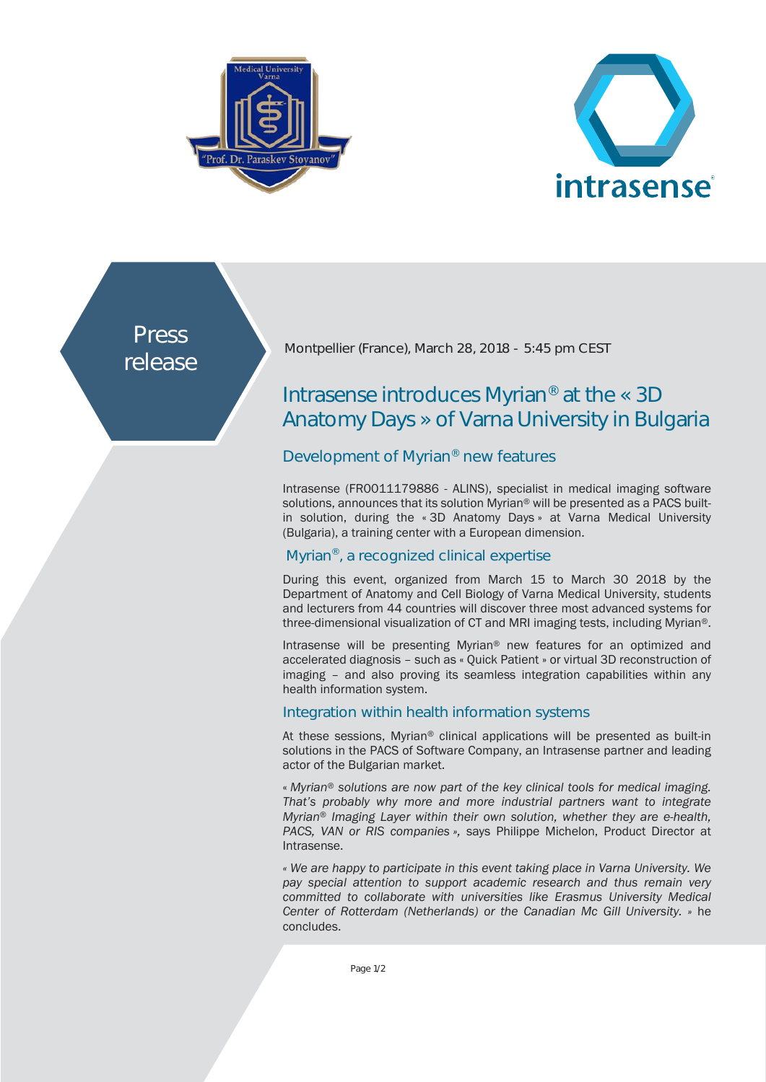



Press release

Montpellier (France), March 28, 2018 - 5:45 pm CEST

# Intrasense introduces Myrian® at the « 3D Anatomy Days » of Varna University in Bulgaria

## Development of Myrian® new features

Intrasense (FR0011179886 - ALINS), specialist in medical imaging software solutions, announces that its solution Myrian® will be presented as a PACS builtin solution, during the « 3D Anatomy Days » at Varna Medical University (Bulgaria), a training center with a European dimension.

## Myrian®, a recognized clinical expertise

During this event, organized from March 15 to March 30 2018 by the Department of Anatomy and Cell Biology of Varna Medical University, students and lecturers from 44 countries will discover three most advanced systems for three-dimensional visualization of CT and MRI imaging tests, including Myrian®.

Intrasense will be presenting Myrian® new features for an optimized and accelerated diagnosis – such as « Quick Patient » or virtual 3D reconstruction of imaging – and also proving its seamless integration capabilities within any health information system.

## Integration within health information systems

At these sessions, Myrian® clinical applications will be presented as built-in solutions in the PACS of Software Company, an Intrasense partner and leading actor of the Bulgarian market.

« *Myrian® solutions are now part of the key clinical tools for medical imaging. That's probably why more and more industrial partners want to integrate Myrian*® *Imaging Layer within their own solution, whether they are e-health, PACS, VAN or RIS companies »,* says Philippe Michelon, Product Director at Intrasense.

*« We are happy to participate in this event taking place in Varna University. We pay special attention to support academic research and thus remain very committed to collaborate with universities like Erasmus University Medical Center of Rotterdam (Netherlands) or the Canadian Mc Gill University. »* he concludes.

Page 1/2